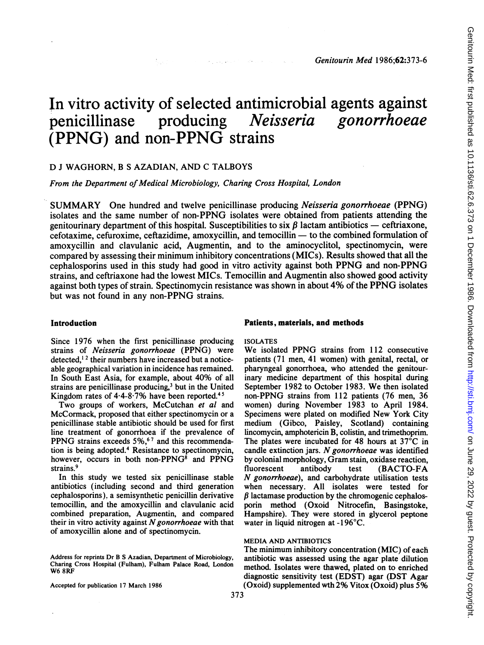# In vitro activity of selected antimicrobial agents against<br>
penicillinase producing *Neisseria gonorrhoeae* penicillinase producing (PPNG) and non-PPNG strains

Service Construction of Construction

# D <sup>J</sup> WAGHORN, B <sup>S</sup> AZADIAN, AND C TALBOYS

From the Department of Medical Microbiology, Charing Cross Hospital, London

SUMMARY One hundred and twelve penicillinase producing Neisseria gonorrhoeae (PPNG) isolates and the same number of non-PPNG isolates were obtained from patients attending the genitourinary department of this hospital. Susceptibilities to six  $\beta$  lactam antibiotics — ceftriaxone, cefotaxime, cefuroxime, ceftazidime, amoxycillin, and temocillin - to the combined formulation of amoxycillin and clavulanic acid, Augmentin, and to the aminocyclitol, spectinomycin, were compared by assessing their minimum inhibitory concentrations (MICs). Results showed that all the cephalosporins used in this study had good in vitro activity against both PPNG and non-PPNG strains, and ceftriaxone had the lowest MICs. Temocillin and Augmentin also showed good activity against both types of strain. Spectinomycin resistance was shown in about 4% of the PPNG isolates but was not found in any non-PPNG strains.

Since 1976 when the first penicillinase producing strains of Neisseria gonorrhoeae (PPNG) were detected,' <sup>2</sup> their numbers have increased but a noticeable geographical variation in incidence has remained. In South East Asia, for example, about 40% of all strains are penicillinase producing,<sup>3</sup> but in the United Kingdom rates of  $4.4 - 8.7\%$  have been reported.<sup>45</sup>

Two groups of workers, McCutchan et al and McCormack, proposed that either spectinomycin or a penicillinase stable antibiotic should be used for first line treatment of gonorrhoea if the prevalence of PPNG strains exceeds 5%,<sup>67</sup> and this recommendation is being adopted.4 Resistance to spectinomycin, however, occurs in both non-PPNG<sup>8</sup> and PPNG strains.<sup>9</sup>

In this study we tested six penicillinase stable antibiotics (including second and third generation cephalosporins). a semisynthetic penicillin derivative temocillin, and the amoxycillin and clavulanic acid combined preparation, Augmentin, and compared their in vitro activity against  $N$  gonorrhoeae with that of amoxycillin alone and of spectinomycin.

Accepted for publication 17 March 1986

#### Introduction **Patients**, materials, and methods

#### ISOLATES

We isolated PPNG strains from <sup>112</sup> consecutive patients (71 men, 41 women) with genital, rectal, or pharyngeal gonorrhoea, who attended the genitourinary medicine department of this hospital during September <sup>1982</sup> to October 1983. We then isolated non-PPNG strains from 112 patients (76 men, 36 women) during November 1983 to April 1984. Specimens were plated on modified New York City medium (Gibco, Paisley, Scotland) containing lincomycin, amphotericin B, colistin, and trimethoprim. The plates were incubated for 48 hours at 37°C in candle extinction jars.  $N$  gonorrhoeae was identified by colonial morphology, Gram stain, oxidase reaction, fluorescent antibody test (BACTO-FA N gonorrhoeae), and carbohydrate utilisation tests when necessary. All isolates were tested for  $\beta$  lactamase production by the chromogenic cephalosporin method (Oxoid Nitrocefin, Basingstoke, Hampshire). They were stored in glycerol peptone water in liquid nitrogen at -196°C.

# MEDIA AND ANTIBIOTICS

The minimum inhibitory concentration (MIC) of each antibiotic was assessed using the agar plate dilution method. Isolates were thawed, plated on to enriched diagnostic sensitivity test (EDST) agar (DST Agar (Oxoid) supplemented wth 2% Vitox (Oxoid) plus 5%

Address for reprints Dr B S Azadian, Department of Microbiology, Charing Cross Hospital (Fulham), Fulham Palace Road, London W6 8RF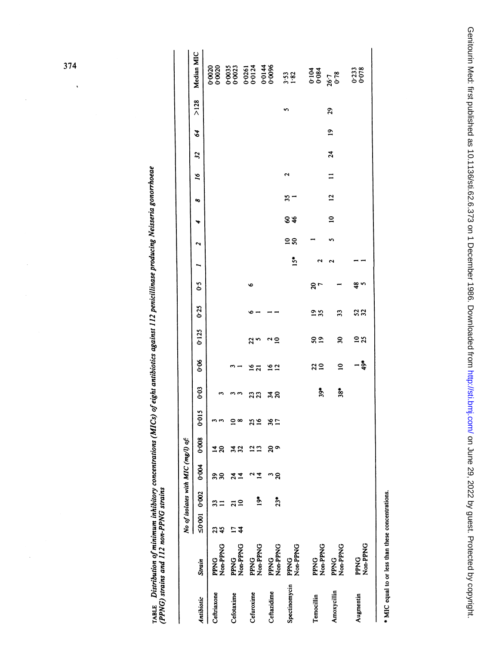TABLE Distribution of minimum inhibitory concentrations (MICs) of eight antibiotics against 112 penicillinase producing Neisseria gonorrhoeae<br>(PPNG) strains and 112 non-PPNG strains

|               |                         |               |       | No of isolates with MIC (mg/l) of: |       |                  |       |                 |               |      |             |                |    |                                |                      |                            |             |      |                                                                         |
|---------------|-------------------------|---------------|-------|------------------------------------|-------|------------------|-------|-----------------|---------------|------|-------------|----------------|----|--------------------------------|----------------------|----------------------------|-------------|------|-------------------------------------------------------------------------|
| Antibiotic    | Strain                  | 50°0010°002   |       | 0.004                              | 0.008 | 0.015            | 0.03  | 8-0             | 0:125         | 0.25 | δ,          |                |    | ∾                              | $\tilde{q}$          | $\boldsymbol{\mathcal{Z}}$ | 84          | >128 | Median MIC                                                              |
| Ceftriaxone   | PPNG<br>Non-PPNG        |               |       | ని                                 |       |                  |       |                 |               |      |             |                |    |                                |                      |                            |             |      |                                                                         |
| Cefotaxime    | PPNG<br>Non-PPNG        | $\frac{4}{3}$ |       | ₹                                  |       | ≘∞               |       |                 |               |      |             |                |    |                                |                      |                            |             |      | 222<br>2323 323 434<br>2323 323 436<br>2323 324<br>2323 325<br>2323 325 |
| Cefuroxime    | PPNG<br>Non-PPNG        |               | ៎     |                                    |       | 35 <sub>16</sub> | 23    | $\frac{16}{21}$ | 23            |      | ৽           |                |    |                                |                      |                            |             |      |                                                                         |
| Ceftazidime   | Non-PPNG<br><b>PPNG</b> |               | $23*$ | $\boldsymbol{S}$                   | 9 ల   | $\frac{8}{17}$   | ងន    | 16/12           | ∾ ≘           |      |             |                |    |                                |                      |                            |             |      |                                                                         |
| Spectinomycin | Non-PPNG<br><b>PPNG</b> |               |       |                                    |       |                  |       |                 |               |      |             | $\frac{4}{15}$ | ៑៓ | $3^{\circ}$<br>84              | $\mathbf{\tilde{c}}$ |                            |             |      |                                                                         |
| Temocillin    | PPNG<br>Non-PPNG        |               |       |                                    |       |                  | $39*$ | $\frac{2}{10}$  | $\frac{8}{2}$ | 23   | $\approx$ 7 |                |    |                                |                      |                            |             |      | $0.104$<br>$0.084$<br>$26.7$<br>$0.78$                                  |
| Amoxycillin   | Non-PPNG<br><b>PPNG</b> |               |       |                                    |       |                  | $38*$ | $\mathbf{a}$    | æ             | 33   |             |                |    | $\overline{a}$<br>$\mathbf{a}$ |                      | 24                         | $\tilde{=}$ | 29   |                                                                         |
| Augmentin     | Non-PPNG<br>PPNG        |               |       |                                    |       |                  |       | $-\frac{2}{9}$  | 23            | 52   | ఞ న         |                |    |                                |                      |                            |             |      | 0.233                                                                   |
|               |                         |               |       |                                    |       |                  |       |                 |               |      |             |                |    |                                |                      |                            |             |      |                                                                         |

\* MIC equal to or less than these concentrations.

374

 $\ddot{\phantom{0}}$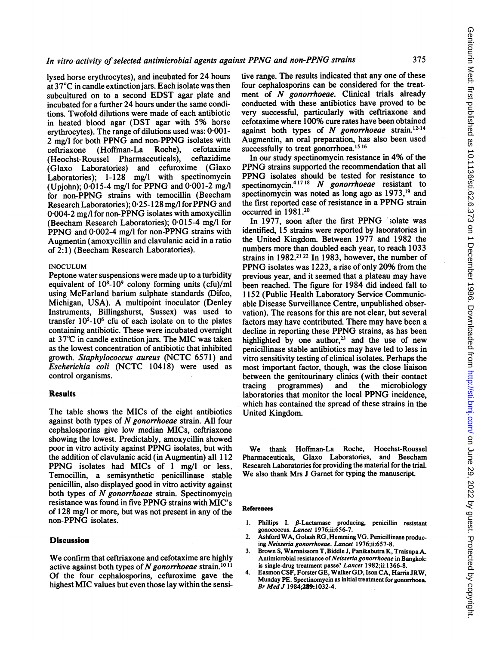lysed horse erythrocytes), and incubated for 24 hours at  $37^{\circ}$ C in candle extinction jars. Each isolate was then subcultured on to <sup>a</sup> second EDST agar plate and incubated for a further 24 hours under the same conditions. Twofold dilutions were made of each antibiotic in heated blood agar (DST agar with 5% horse erythrocytes). The range of dilutions used was:  $0.001$ -2 mg/l for both PPNG and non-PPNG isolates with<br>ceftriaxone (Hoffman-La Roche), cefotaxime ceftriaxone (Hoffman-La Roche), cefotaxime (Heochst-Roussel Pharmaceuticals), ceftazidime (Glaxo Laboratories) and cefuroxime (Glaxo Laboratories); 1-128 mg/l with spectinomycin Laboratories);  $1-128$ (Upjohn);  $0.015-4$  mg/l for PPNG and  $0.001-2$  mg/l for non-PPNG strains with temocillin (Beecham Research Laboratories); 0-25-128 mg/l for PPNG and 0-004-2 mg/l for non-PPNG isolates with amoxycillin (Beecham Research Laboratories); 0-015-4 mg/l for PPNG and 0-002-4 mg/l for non-PPNG strains with Augmentin (amoxycillin and clavulanic acid in a ratio of 2:1) (Beecham Research Laboratories).

# INOCULUM

Peptone water suspensions were made up to a turbidity equivalent of  $10^8\t{-}10^9$  colony forming units (cfu)/ml using McFarland barium sulphate standards (Difco, Michigan, USA). A multipoint inoculator (Denley Instruments, Billingshurst, Sussex) was used to transfer 105-106 cfu of each isolate on to the plates containing antibiotic. These were incubated ovemight at 37°C in candle extinction jars. The MIC was taken as the lowest concentration of antibiotic that inhibited growth. Staphylococcus aureus (NCTC 6571) and Escherichia coli (NCTC 10418) were used as control organisms.

# Results

The table shows the MICs of the eight antibiotics against both types of  $N$  gonorrhoeae strain. All four cephalosporins give low median MICs, ceftriaxone showing the lowest. Predictably, amoxycillin showed poor in vitro activity against PPNG isolates, but with the addition of clavulanic acid (in Augmentin) all 112 PPNG isolates had MICs of <sup>1</sup> mg/l or less. Temocillin, a semisynthetic penicillinase stable penicillin, also displayed good in vitro activity against both types of N gonorrhoeae strain. Spectinomycin resistance was found in five PPNG strains with MIC's of 128 mg/l or more, but was not present in any of the non-PPNG isolates.

# Discussion

We confirm that ceftriaxone and cefotaxime are highly active against both types of N gonorrhoeae strain.<sup>1011</sup> Of the four cephalosporins, cefuroxime gave the highest MIC values but even those lay within the sensi-

tive range. The results indicated that any one of these four cephalosporins can be considered for the treatment of N gonorrhoeae. Clinical trials already conducted with these antibiotics have proved to be very successful, particularly with ceftriaxone and cefotaxime where 100% cure rates have been obtained against both types of  $N$  gonorrhoeae strain.<sup>12-14</sup> Augmentin, an oral preparation, has also been used successfully to treat gonorrhoea.<sup>15 16</sup>

In our study spectinomycin resistance in 4% of the PPNG strains supported the recommendation that all PPNG isolates should be tested for resistance to spectinomycin.<sup>41718</sup> N gonorrhoeae resistant to spectinomycin was noted as long ago as 1973,<sup>19</sup> and the first reported case of resistance in <sup>a</sup> PPNG strain occurred in 1981.20

In 1977, soon after the first PPNG solate was identified, 15 strains were reported by laporatories in the United Kingdom. Between 1977 and 1982 the numbers more than doubled each year, to reach 1033 strains in 1982.21 <sup>22</sup> In 1983, however, the number of PPNG isolates was 1223, <sup>a</sup> rise of only 20% from the previous year, and it seemed that a plateau may have been reached. The figure for 1984 did indeed fall to 1152 (Public Health Laboratory Service Communicable Disease Surveillance Centre, unpublished observation). The reasons for this are not clear, but several factors may have contributed. There may have been a decline in reporting these PPNG strains, as has been highlighted by one author,<sup>23</sup> and the use of new penicillinase stable antibiotics may have led to less in vitro sensitivity testing of clinical isolates. Perhaps the most important factor, though, was the close liaison between the genitourinary clinics (with their contact tracing programmes) and the microbiology tracing programmes) and the microbiology laboratories that monitor the local PPNG incidence, which has contained the spread of these strains in the United Kingdom.

We thank Hoffman-La Roche, Hoechst-Roussel Pharmaceuticals, Glaxo Laboratories, and Beecham Research Laboratories for providing the material for the trial. We also thank Mrs <sup>J</sup> Garnet for typing the manuscript

#### References

- 1. Phillips I.  $\beta$ -Lactamase producing, penicillin resistant gonococcus. Lancet 1976;ii:656-7.
- 2. Ashford WA, Golash RG,Hemming VG. Penicillinase producing Neisseria gonorrhoeae. Lancet 1976;ii:657-8.
- 3. Brown S, Warnnissom T,Biddle J, Panikabutra K, TraisupaA. Antimicrobial resistance of Neisseria gonorrhoeae in Bangkok: is single-drug treatment passe? Lancet 1982;ii: 1366-8.
- 4. Easmon CSF, ForsterGE, WalkerGD, Ison CA, Harris JRW, Munday PE. Spectinomycin as initial treatment for gonorrhoea. Br Med J 1984;289:1032-4.